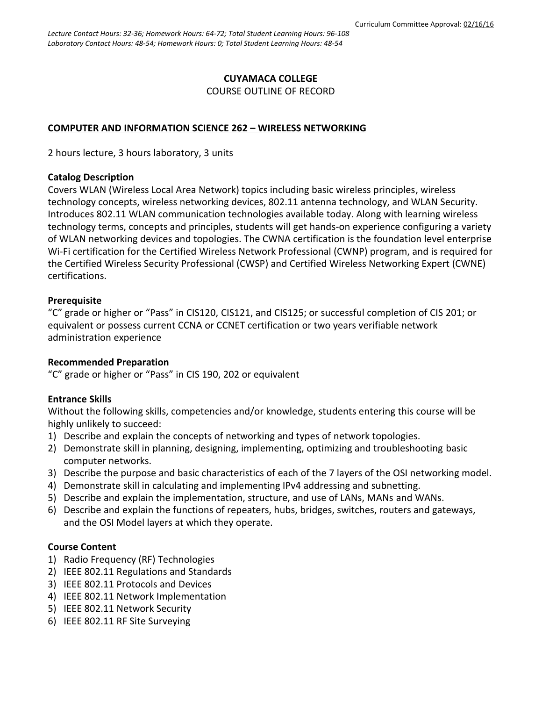### **CUYAMACA COLLEGE** COURSE OUTLINE OF RECORD

#### **COMPUTER AND INFORMATION SCIENCE 262 – WIRELESS NETWORKING**

2 hours lecture, 3 hours laboratory, 3 units

#### **Catalog Description**

Covers WLAN (Wireless Local Area Network) topics including basic wireless principles, wireless technology concepts, wireless networking devices, 802.11 antenna technology, and WLAN Security. Introduces 802.11 WLAN communication technologies available today. Along with learning wireless technology terms, concepts and principles, students will get hands-on experience configuring a variety of WLAN networking devices and topologies. The CWNA certification is the foundation level enterprise Wi-Fi certification for the Certified Wireless Network Professional (CWNP) program, and is required for the Certified Wireless Security Professional (CWSP) and Certified Wireless Networking Expert (CWNE) certifications.

#### **Prerequisite**

"C" grade or higher or "Pass" in CIS120, CIS121, and CIS125; or successful completion of CIS 201; or equivalent or possess current CCNA or CCNET certification or two years verifiable network administration experience

### **Recommended Preparation**

"C" grade or higher or "Pass" in CIS 190, 202 or equivalent

### **Entrance Skills**

Without the following skills, competencies and/or knowledge, students entering this course will be highly unlikely to succeed:

- 1) Describe and explain the concepts of networking and types of network topologies.
- 2) Demonstrate skill in planning, designing, implementing, optimizing and troubleshooting basic computer networks.
- 3) Describe the purpose and basic characteristics of each of the 7 layers of the OSI networking model.
- 4) Demonstrate skill in calculating and implementing IPv4 addressing and subnetting.
- 5) Describe and explain the implementation, structure, and use of LANs, MANs and WANs.
- 6) Describe and explain the functions of repeaters, hubs, bridges, switches, routers and gateways, and the OSI Model layers at which they operate.

### **Course Content**

- 1) Radio Frequency (RF) Technologies
- 2) IEEE 802.11 Regulations and Standards
- 3) IEEE 802.11 Protocols and Devices
- 4) IEEE 802.11 Network Implementation
- 5) IEEE 802.11 Network Security
- 6) IEEE 802.11 RF Site Surveying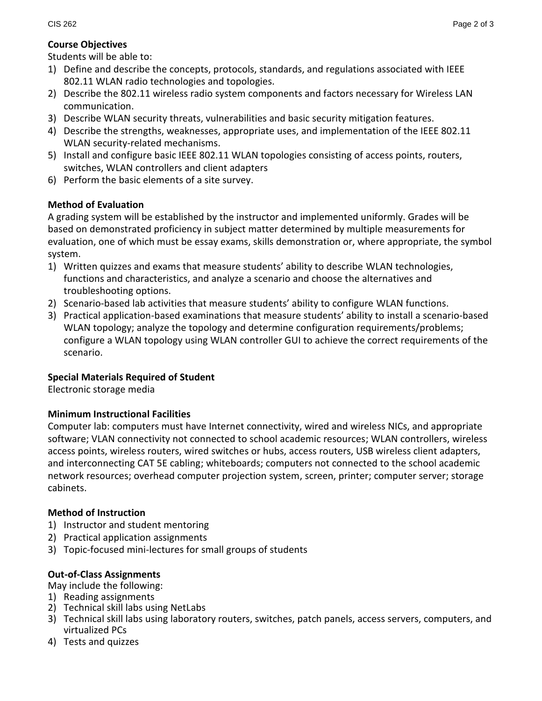# **Course Objectives**

Students will be able to:

- 1) Define and describe the concepts, protocols, standards, and regulations associated with IEEE 802.11 WLAN radio technologies and topologies.
- 2) Describe the 802.11 wireless radio system components and factors necessary for Wireless LAN communication.
- 3) Describe WLAN security threats, vulnerabilities and basic security mitigation features.
- 4) Describe the strengths, weaknesses, appropriate uses, and implementation of the IEEE 802.11 WLAN security-related mechanisms.
- 5) Install and configure basic IEEE 802.11 WLAN topologies consisting of access points, routers, switches, WLAN controllers and client adapters
- 6) Perform the basic elements of a site survey.

# **Method of Evaluation**

A grading system will be established by the instructor and implemented uniformly. Grades will be based on demonstrated proficiency in subject matter determined by multiple measurements for evaluation, one of which must be essay exams, skills demonstration or, where appropriate, the symbol system.

- 1) Written quizzes and exams that measure students' ability to describe WLAN technologies, functions and characteristics, and analyze a scenario and choose the alternatives and troubleshooting options.
- 2) Scenario-based lab activities that measure students' ability to configure WLAN functions.
- 3) Practical application-based examinations that measure students' ability to install a scenario-based WLAN topology; analyze the topology and determine configuration requirements/problems; configure a WLAN topology using WLAN controller GUI to achieve the correct requirements of the scenario.

## **Special Materials Required of Student**

Electronic storage media

## **Minimum Instructional Facilities**

Computer lab: computers must have Internet connectivity, wired and wireless NICs, and appropriate software; VLAN connectivity not connected to school academic resources; WLAN controllers, wireless access points, wireless routers, wired switches or hubs, access routers, USB wireless client adapters, and interconnecting CAT 5E cabling; whiteboards; computers not connected to the school academic network resources; overhead computer projection system, screen, printer; computer server; storage cabinets.

## **Method of Instruction**

- 1) Instructor and student mentoring
- 2) Practical application assignments
- 3) Topic-focused mini-lectures for small groups of students

## **Out-of-Class Assignments**

May include the following:

- 1) Reading assignments
- 2) Technical skill labs using NetLabs
- 3) Technical skill labs using laboratory routers, switches, patch panels, access servers, computers, and virtualized PCs
- 4) Tests and quizzes